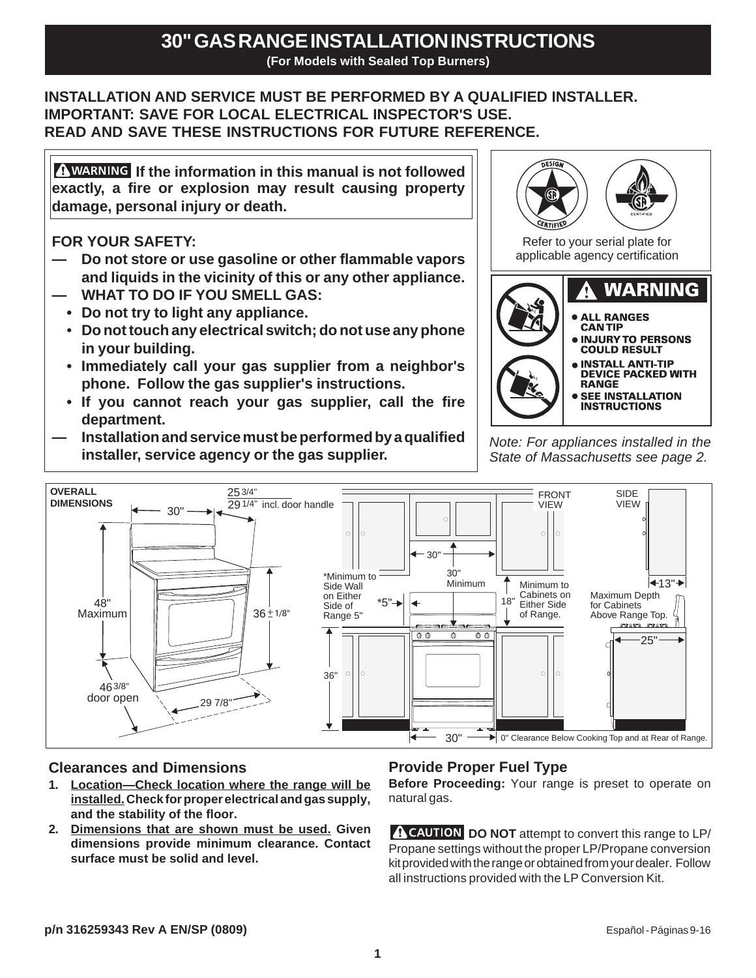## **INSTALLATION AND SERVICE MUST BE PERFORMED BY A QUALIFIED INSTALLER. IMPORTANT: SAVE FOR LOCAL ELECTRICAL INSPECTOR'S USE. READ AND SAVE THESE INSTRUCTIONS FOR FUTURE REFERENCE.**

**A** WARNING If the information in this manual is not followed **exactly, a fire or explosion may result causing property damage, personal injury or death.**

**FOR YOUR SAFETY:**

- **Do not store or use gasoline or other flammable vapors and liquids in the vicinity of this or any other appliance.**
- **WHAT TO DO IF YOU SMELL GAS:**
- **Do not try to light any appliance.**
- **Do not touch any electrical switch; do not use any phone in your building.**
- **Immediately call your gas supplier from a neighbor's phone. Follow the gas supplier's instructions.**
- **If you cannot reach your gas supplier, call the fire department.**
- **Installation and service must be performed by a qualified installer, service agency or the gas supplier.** *Note: For appliances installed in the*



*State of Massachusetts see page 2.*



# **Clearances and Dimensions**

- **1. Location—Check location where the range will be installed. Check for proper electrical and gas supply, and the stability of the floor.**
- **2. Dimensions that are shown must be used. Given dimensions provide minimum clearance. Contact surface must be solid and level.**

# **Provide Proper Fuel Type**

**Before Proceeding:** Your range is preset to operate on natural gas.

**A CAUTION DO NOT** attempt to convert this range to LP/ Propane settings without the proper LP/Propane conversion kit provided with the range or obtained from your dealer. Follow all instructions provided with the LP Conversion Kit.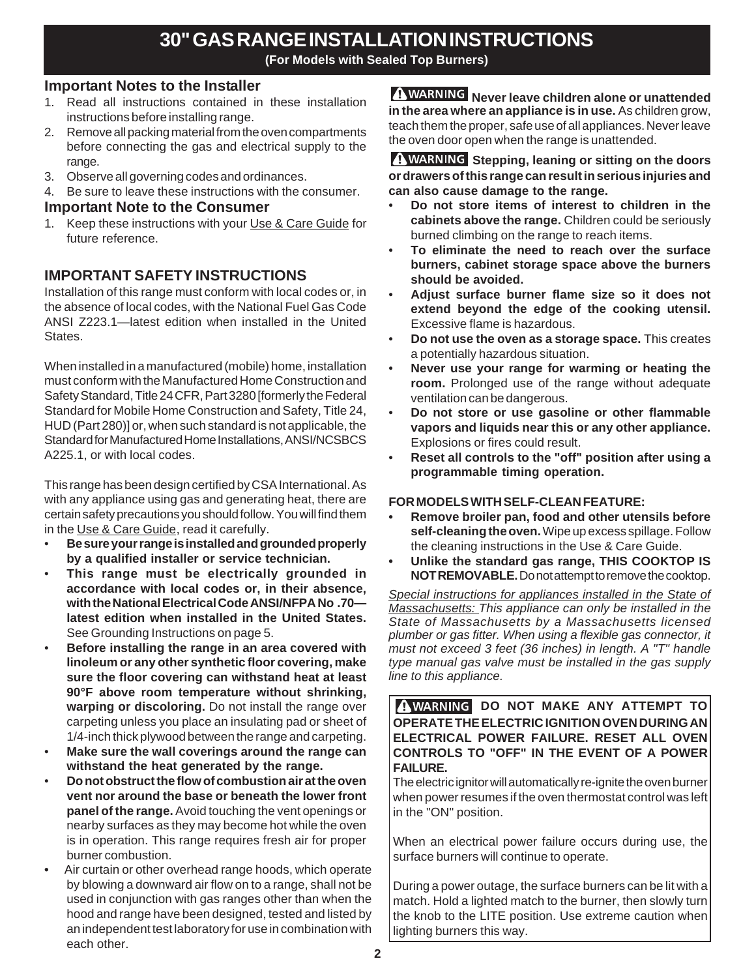# **30" GAS RANGE INSTALLATION INSTRUCTIONS**

**(For Models with Sealed Top Burners)**

#### **Important Notes to the Installer**

- 1. Read all instructions contained in these installation instructions before installing range.
- 2. Remove all packing material from the oven compartments before connecting the gas and electrical supply to the range.
- 3. Observe all governing codes and ordinances.
- 4. Be sure to leave these instructions with the consumer.

#### **Important Note to the Consumer**

1. Keep these instructions with your Use & Care Guide for future reference.

### **IMPORTANT SAFETY INSTRUCTIONS**

Installation of this range must conform with local codes or, in the absence of local codes, with the National Fuel Gas Code ANSI Z223.1—latest edition when installed in the United States.

When installed in a manufactured (mobile) home, installation must conform with the Manufactured Home Construction and Safety Standard, Title 24 CFR, Part 3280 [formerly the Federal Standard for Mobile Home Construction and Safety, Title 24, HUD (Part 280)] or, when such standard is not applicable, the Standard for Manufactured Home Installations, ANSI/NCSBCS A225.1, or with local codes.

This range has been design certified by CSA International. As with any appliance using gas and generating heat, there are certain safety precautions you should follow. You will find them in the Use & Care Guide, read it carefully.

- **Be sure your range is installed and grounded properly by a qualified installer or service technician.**
- **This range must be electrically grounded in accordance with local codes or, in their absence, with the National Electrical Code ANSI/NFPA No .70 latest edition when installed in the United States.** See Grounding Instructions on page 5.
- **Before installing the range in an area covered with linoleum or any other synthetic floor covering, make sure the floor covering can withstand heat at least 90°F above room temperature without shrinking, warping or discoloring.** Do not install the range over carpeting unless you place an insulating pad or sheet of 1/4-inch thick plywood between the range and carpeting.
- **Make sure the wall coverings around the range can withstand the heat generated by the range.**
- **Do not obstruct the flow of combustion air at the oven vent nor around the base or beneath the lower front panel of the range.** Avoid touching the vent openings or nearby surfaces as they may become hot while the oven is in operation. This range requires fresh air for proper burner combustion.
- Air curtain or other overhead range hoods, which operate by blowing a downward air flow on to a range, shall not be used in conjunction with gas ranges other than when the hood and range have been designed, tested and listed by an independent test laboratory for use in combination with each other.

**A WARNING** Never leave children alone or unattended **in the area where an appliance is in use.** As children grow, teach them the proper, safe use of all appliances. Never leave the oven door open when the range is unattended.

**A WARNING Stepping, leaning or sitting on the doors or drawers of this range can result in serious injuries and can also cause damage to the range.**

- **Do not store items of interest to children in the cabinets above the range.** Children could be seriously burned climbing on the range to reach items.
- **To eliminate the need to reach over the surface burners, cabinet storage space above the burners should be avoided.**
- **Adjust surface burner flame size so it does not extend beyond the edge of the cooking utensil.** Excessive flame is hazardous.
- **Do not use the oven as a storage space.** This creates a potentially hazardous situation.
- **Never use your range for warming or heating the room.** Prolonged use of the range without adequate ventilation can be dangerous.
- **Do not store or use gasoline or other flammable vapors and liquids near this or any other appliance.** Explosions or fires could result.
- **Reset all controls to the "off" position after using a programmable timing operation.**

#### **FOR MODELS WITH SELF-CLEAN FEATURE:**

- **Remove broiler pan, food and other utensils before self-cleaning the oven.** Wipe up excess spillage. Follow the cleaning instructions in the Use & Care Guide.
- **Unlike the standard gas range, THIS COOKTOP IS NOT REMOVABLE.** Do not attempt to remove the cooktop.

*Special instructions for appliances installed in the State of Massachusetts: This appliance can only be installed in the State of Massachusetts by a Massachusetts licensed plumber or gas fitter. When using a flexible gas connector, it must not exceed 3 feet (36 inches) in length. A "T" handle type manual gas valve must be installed in the gas supply line to this appliance.*

**I WARNING DO NOT MAKE ANY ATTEMPT TO OPERATE THE ELECTRIC IGNITION OVEN DURING AN ELECTRICAL POWER FAILURE. RESET ALL OVEN CONTROLS TO "OFF" IN THE EVENT OF A POWER FAILURE.**

The electric ignitor will automatically re-ignite the oven burner when power resumes if the oven thermostat control was left in the "ON" position.

When an electrical power failure occurs during use, the surface burners will continue to operate.

During a power outage, the surface burners can be lit with a match. Hold a lighted match to the burner, then slowly turn the knob to the LITE position. Use extreme caution when lighting burners this way.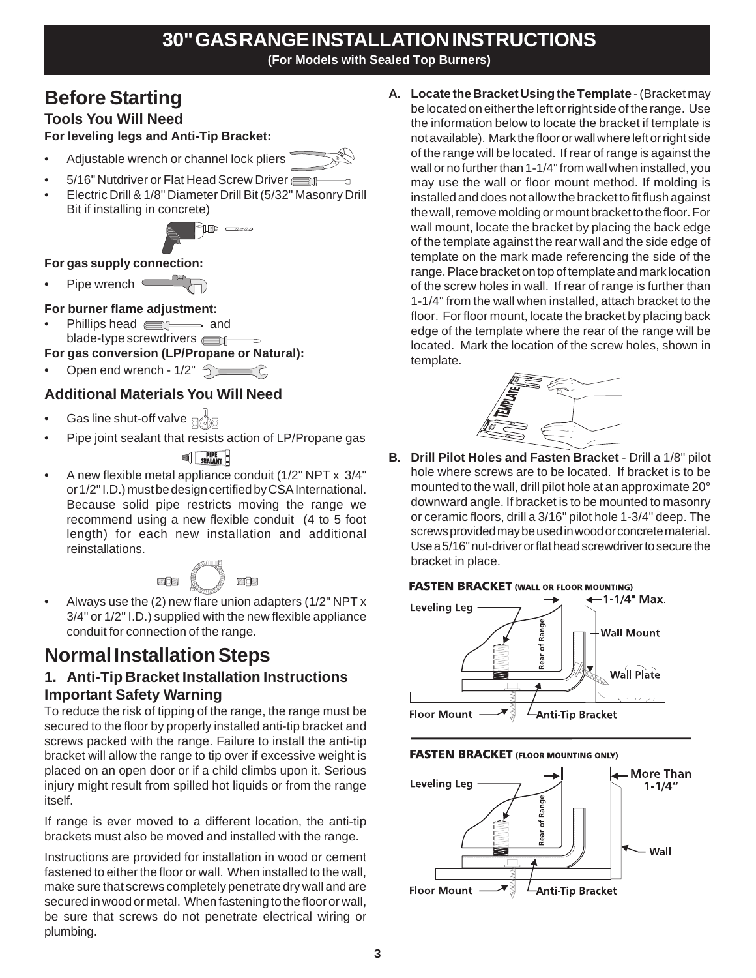# **30" GAS RANGE INSTALLATION INSTRUCTIONS**

**(For Models with Sealed Top Burners)**

# **Before Starting**

# **Tools You Will Need**

**For leveling legs and Anti-Tip Bracket:**

- Adjustable wrench or channel lock pliers
- 5/16" Nutdriver or Flat Head Screw Driver
- Electric Drill & 1/8" Diameter Drill Bit (5/32" Masonry Drill Bit if installing in concrete)



#### **For gas supply connection:**

Pipe wrench  $\equiv$ 

#### **For burner flame adjustment:**

Phillips head **and** and blade-type screwdrivers  $\equiv$ 

**For gas conversion (LP/Propane or Natural):**

Open end wrench -  $1/2$ "  $\bigcirc$   $\bigcirc$   $\bigcirc$ 

# **Additional Materials You Will Need**

- Gas line shut-off valve  $\mathbb{R}^{\mathbb{N}}$
- Pipe joint sealant that resists action of LP/Propane gas

### **SEALANT**

• A new flexible metal appliance conduit (1/2" NPT x 3/4" or 1/2" I.D.) must be design certified by CSA International. Because solid pipe restricts moving the range we recommend using a new flexible conduit (4 to 5 foot length) for each new installation and additional reinstallations.

• Always use the (2) new flare union adapters (1/2" NPT x 3/4" or 1/2" I.D.) supplied with the new flexible appliance conduit for connection of the range.

# **Normal Installation Steps**

# **1. Anti-Tip Bracket Installation Instructions Important Safety Warning**

To reduce the risk of tipping of the range, the range must be secured to the floor by properly installed anti-tip bracket and screws packed with the range. Failure to install the anti-tip bracket will allow the range to tip over if excessive weight is placed on an open door or if a child climbs upon it. Serious injury might result from spilled hot liquids or from the range itself.

If range is ever moved to a different location, the anti-tip brackets must also be moved and installed with the range.

Instructions are provided for installation in wood or cement fastened to either the floor or wall. When installed to the wall, make sure that screws completely penetrate dry wall and are secured in wood or metal. When fastening to the floor or wall, be sure that screws do not penetrate electrical wiring or plumbing.

**A. Locate the Bracket Using the Template** - (Bracket may be located on either the left or right side of the range. Use the information below to locate the bracket if template is not available). Mark the floor or wall where left or right side of the range will be located. If rear of range is against the wall or no further than 1-1/4" from wall when installed, you may use the wall or floor mount method. If molding is installed and does not allow the bracket to fit flush against the wall, remove molding or mount bracket to the floor. For wall mount, locate the bracket by placing the back edge of the template against the rear wall and the side edge of template on the mark made referencing the side of the range. Place bracket on top of template and mark location of the screw holes in wall. If rear of range is further than 1-1/4" from the wall when installed, attach bracket to the floor. For floor mount, locate the bracket by placing back edge of the template where the rear of the range will be located. Mark the location of the screw holes, shown in template.



**B. Drill Pilot Holes and Fasten Bracket** - Drill a 1/8" pilot hole where screws are to be located. If bracket is to be mounted to the wall, drill pilot hole at an approximate 20° downward angle. If bracket is to be mounted to masonry or ceramic floors, drill a 3/16" pilot hole 1-3/4" deep. The screws provided may be used in wood or concrete material. Use a 5/16" nut-driver or flat head screwdriver to secure the bracket in place.





#### **FASTEN BRACKET (FLOOR MOUNTING ONLY)**

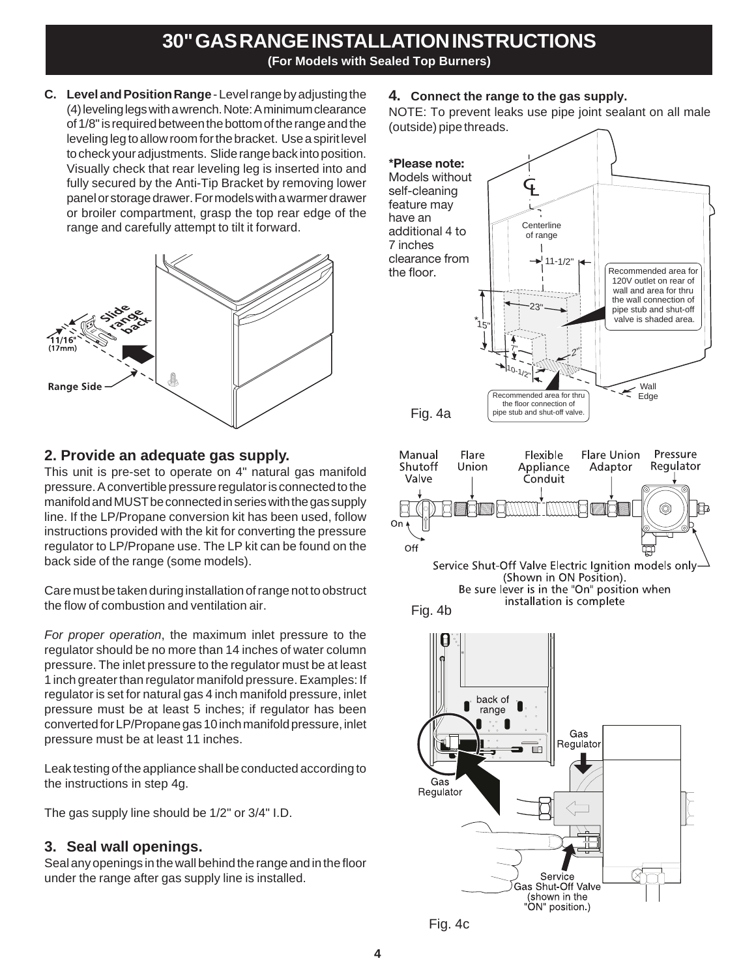**C. Level and Position Range** - Level range by adjusting the (4) leveling legs with a wrench. Note: A minimum clearance of 1/8" is required between the bottom of the range and the leveling leg to allow room for the bracket. Use a spirit level to check your adjustments. Slide range back into position. Visually check that rear leveling leg is inserted into and fully secured by the Anti-Tip Bracket by removing lower panel or storage drawer. For models with a warmer drawer or broiler compartment, grasp the top rear edge of the range and carefully attempt to tilt it forward.



#### **2. Provide an adequate gas supply.**

This unit is pre-set to operate on 4" natural gas manifold pressure. A convertible pressure regulator is connected to the manifold and MUST be connected in series with the gas supply line. If the LP/Propane conversion kit has been used, follow instructions provided with the kit for converting the pressure regulator to LP/Propane use. The LP kit can be found on the back side of the range (some models).

Care must be taken during installation of range not to obstruct the flow of combustion and ventilation air.

*For proper operation*, the maximum inlet pressure to the regulator should be no more than 14 inches of water column pressure. The inlet pressure to the regulator must be at least 1 inch greater than regulator manifold pressure. Examples: If regulator is set for natural gas 4 inch manifold pressure, inlet pressure must be at least 5 inches; if regulator has been converted for LP/Propane gas 10 inch manifold pressure, inlet pressure must be at least 11 inches.

Leak testing of the appliance shall be conducted according to the instructions in step 4g.

The gas supply line should be 1/2" or 3/4" I.D.

### **3. Seal wall openings.**

Seal any openings in the wall behind the range and in the floor under the range after gas supply line is installed.

#### **4. Connect the range to the gas supply.**

NOTE: To prevent leaks use pipe joint sealant on all male (outside) pipe threads.



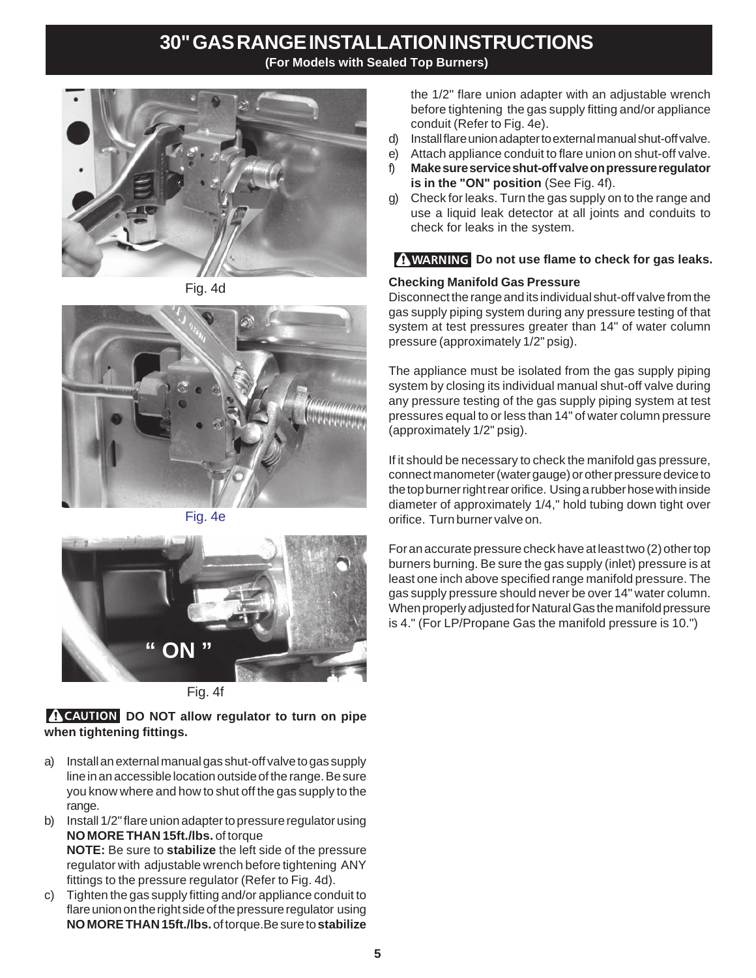# **30" GAS RANGE INSTALLATION INSTRUCTIONS**

**(For Models with Sealed Top Burners)**



Fig. 4d



Fig. 4e



Fig. 4f

#### **A CAUTION DO NOT allow regulator to turn on pipe when tightening fittings.**

- a) Install an external manual gas shut-off valve to gas supply line in an accessible location outside of the range. Be sure you know where and how to shut off the gas supply to the range.
- b) Install 1/2" flare union adapter to pressure regulator using **NO MORE THAN 15ft./lbs.** of torque **NOTE:** Be sure to **stabilize** the left side of the pressure regulator with adjustable wrench before tightening ANY fittings to the pressure regulator (Refer to Fig. 4d).
- c) Tighten the gas supply fitting and/or appliance conduit to flare union on the right side of the pressure regulator using **NO MORE THAN 15ft./lbs.** of torque.Be sure to **stabilize**

the 1/2" flare union adapter with an adjustable wrench before tightening the gas supply fitting and/or appliance conduit (Refer to Fig. 4e).

- d) Install flare union adapter to external manual shut-off valve.
- e) Attach appliance conduit to flare union on shut-off valve.
- f) **Make sure service shut-off valve on pressure regulator is in the "ON" position** (See Fig. 4f).
- g) Check for leaks. Turn the gas supply on to the range and use a liquid leak detector at all joints and conduits to check for leaks in the system.

### **WARNING** Do not use flame to check for gas leaks.

#### **Checking Manifold Gas Pressure**

Disconnect the range and its individual shut-off valve from the gas supply piping system during any pressure testing of that system at test pressures greater than 14" of water column pressure (approximately 1/2" psig).

The appliance must be isolated from the gas supply piping system by closing its individual manual shut-off valve during any pressure testing of the gas supply piping system at test pressures equal to or less than 14" of water column pressure (approximately 1/2" psig).

If it should be necessary to check the manifold gas pressure, connect manometer (water gauge) or other pressure device to the top burner right rear orifice. Using a rubber hose with inside diameter of approximately 1/4," hold tubing down tight over orifice. Turn burner valve on.

For an accurate pressure check have at least two (2) other top burners burning. Be sure the gas supply (inlet) pressure is at least one inch above specified range manifold pressure. The gas supply pressure should never be over 14" water column. When properly adjusted for Natural Gas the manifold pressure is 4." (For LP/Propane Gas the manifold pressure is 10.")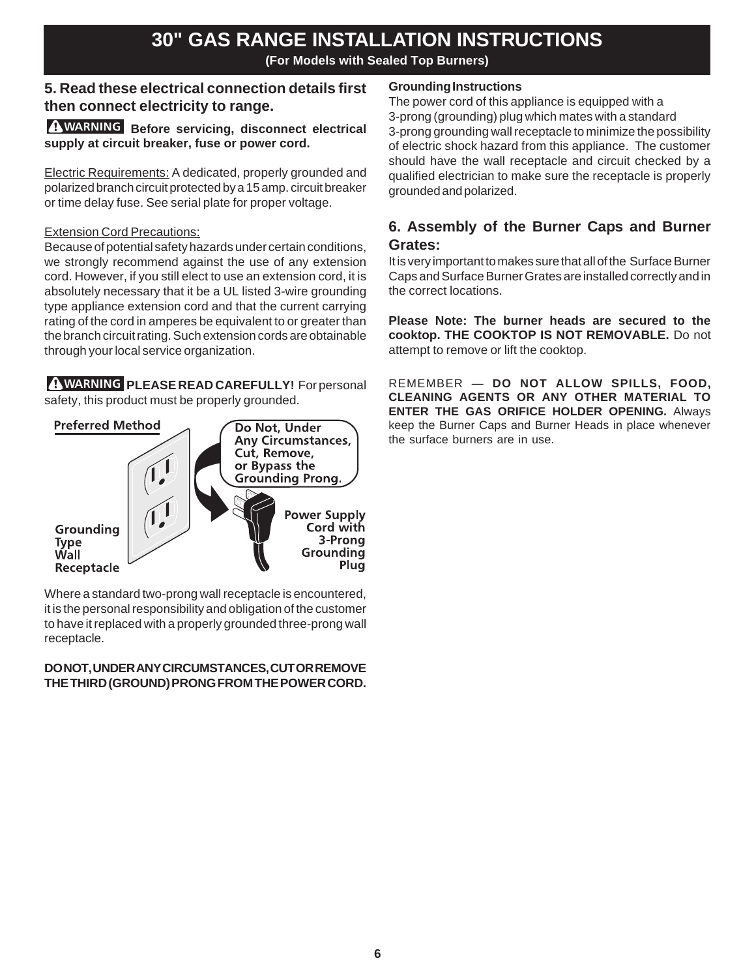### **5. Read these electrical connection details first then connect electricity to range.**

#### **A WARNING** Before servicing, disconnect electrical **supply at circuit breaker, fuse or power cord.**

Electric Requirements: A dedicated, properly grounded and polarized branch circuit protected by a 15 amp. circuit breaker or time delay fuse. See serial plate for proper voltage.

#### Extension Cord Precautions:

Because of potential safety hazards under certain conditions, we strongly recommend against the use of any extension cord. However, if you still elect to use an extension cord, it is absolutely necessary that it be a UL listed 3-wire grounding type appliance extension cord and that the current carrying rating of the cord in amperes be equivalent to or greater than the branch circuit rating. Such extension cords are obtainable through your local service organization.

**A WARNING PLEASE READ CAREFULLY!** For personal safety, this product must be properly grounded.



Where a standard two-prong wall receptacle is encountered, it is the personal responsibility and obligation of the customer to have it replaced with a properly grounded three-prong wall receptacle.

#### **DO NOT, UNDER ANY CIRCUMSTANCES, CUT OR REMOVE THE THIRD (GROUND) PRONG FROM THE POWER CORD.**

#### **Grounding Instructions**

The power cord of this appliance is equipped with a 3-prong (grounding) plug which mates with a standard 3-prong grounding wall receptacle to minimize the possibility of electric shock hazard from this appliance. The customer should have the wall receptacle and circuit checked by a qualified electrician to make sure the receptacle is properly grounded and polarized.

### **6. Assembly of the Burner Caps and Burner Grates:**

It is very important to makes sure that all of the Surface Burner Caps and Surface Burner Grates are installed correctly and in the correct locations.

**Please Note: The burner heads are secured to the cooktop. THE COOKTOP IS NOT REMOVABLE.** Do not attempt to remove or lift the cooktop.

REMEMBER — **DO NOT ALLOW SPILLS, FOOD, CLEANING AGENTS OR ANY OTHER MATERIAL TO ENTER THE GAS ORIFICE HOLDER OPENING.** Always keep the Burner Caps and Burner Heads in place whenever the surface burners are in use.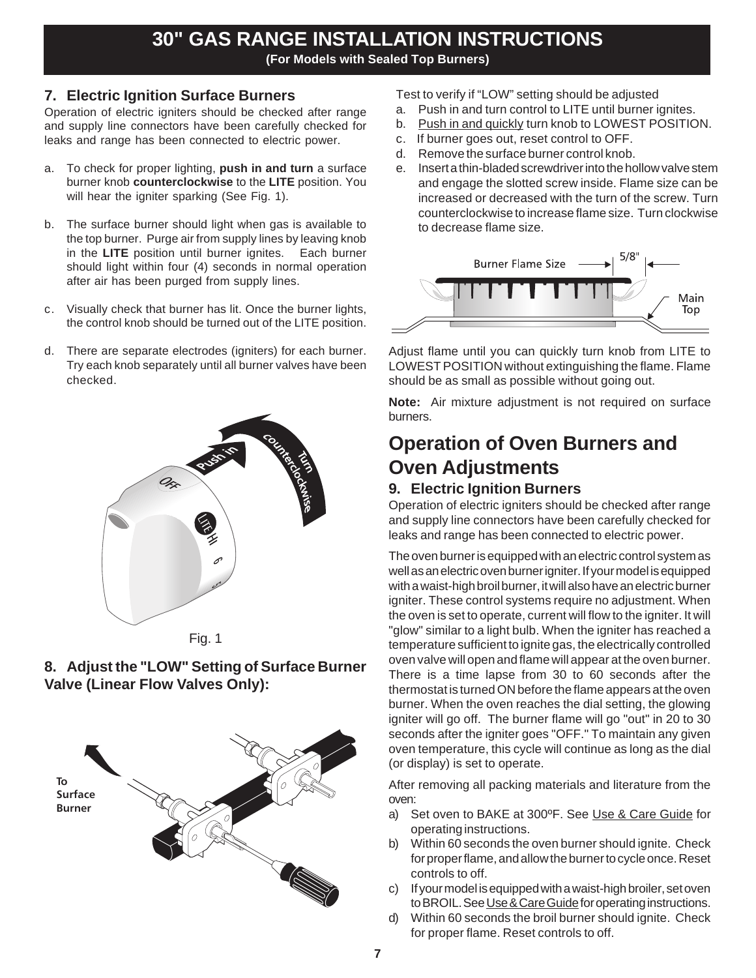#### **7. Electric Ignition Surface Burners**

Operation of electric igniters should be checked after range and supply line connectors have been carefully checked for leaks and range has been connected to electric power.

- a. To check for proper lighting, **push in and turn** a surface burner knob **counterclockwise** to the **LITE** position. You will hear the igniter sparking (See Fig. 1).
- b. The surface burner should light when gas is available to the top burner. Purge air from supply lines by leaving knob in the **LITE** position until burner ignites. Each burner should light within four (4) seconds in normal operation after air has been purged from supply lines.
- c. Visually check that burner has lit. Once the burner lights, the control knob should be turned out of the LITE position.
- d. There are separate electrodes (igniters) for each burner. Try each knob separately until all burner valves have been checked.









Test to verify if "LOW" setting should be adjusted

- a. Push in and turn control to LITE until burner ignites.
- b. Push in and quickly turn knob to LOWEST POSITION.
- c. If burner goes out, reset control to OFF.
- d. Remove the surface burner control knob.
- e. Insert a thin-bladed screwdriver into the hollow valve stem and engage the slotted screw inside. Flame size can be increased or decreased with the turn of the screw. Turn counterclockwise to increase flame size. Turn clockwise to decrease flame size.



Adjust flame until you can quickly turn knob from LITE to LOWEST POSITION without extinguishing the flame. Flame should be as small as possible without going out.

**Note:** Air mixture adjustment is not required on surface burners.

# **Operation of Oven Burners and Oven Adjustments**

## **9. Electric Ignition Burners**

Operation of electric igniters should be checked after range and supply line connectors have been carefully checked for leaks and range has been connected to electric power.

The oven burner is equipped with an electric control system as well as an electric oven burner igniter. If your model is equipped with a waist-high broil burner, it will also have an electric burner igniter. These control systems require no adjustment. When the oven is set to operate, current will flow to the igniter. It will "glow" similar to a light bulb. When the igniter has reached a temperature sufficient to ignite gas, the electrically controlled oven valve will open and flame will appear at the oven burner. There is a time lapse from 30 to 60 seconds after the thermostat is turned ON before the flame appears at the oven burner. When the oven reaches the dial setting, the glowing igniter will go off. The burner flame will go "out" in 20 to 30 seconds after the igniter goes "OFF." To maintain any given oven temperature, this cycle will continue as long as the dial (or display) is set to operate.

After removing all packing materials and literature from the oven:

- a) Set oven to BAKE at 300ºF. See Use & Care Guide for operating instructions.
- b) Within 60 seconds the oven burner should ignite. Check for proper flame, and allow the burner to cycle once. Reset controls to off.
- c) If your model is equipped with a waist-high broiler, set oven to BROIL. See Use & Care Guide for operating instructions.
- d) Within 60 seconds the broil burner should ignite. Check for proper flame. Reset controls to off.